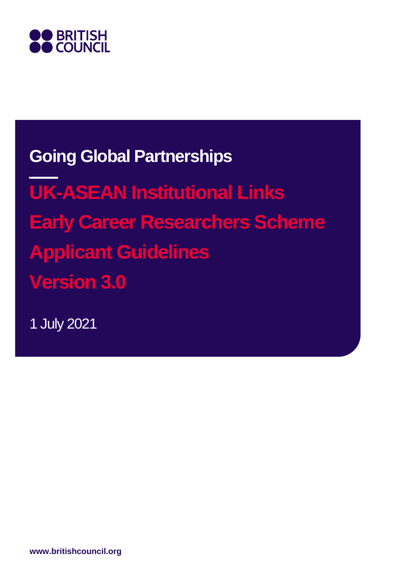

# **Going Global Partnerships**

**UK-ASEAN Institutional Links Early Career Researchers Scheme Applicant Guidelines Version 3.0**

1 July 2021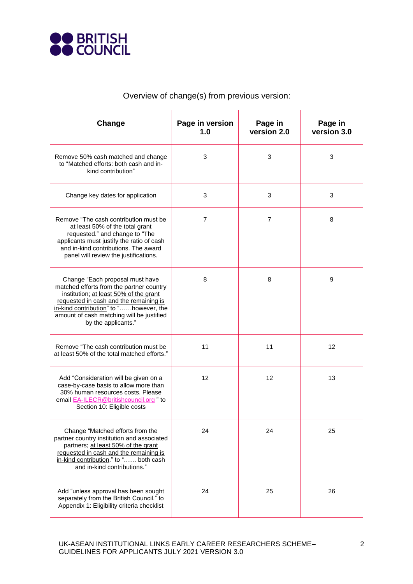

| Change                                                                                                                                                                                                                                                                        | Page in version<br>1.0 | Page in<br>version 2.0 | Page in<br>version 3.0 |
|-------------------------------------------------------------------------------------------------------------------------------------------------------------------------------------------------------------------------------------------------------------------------------|------------------------|------------------------|------------------------|
| Remove 50% cash matched and change<br>to "Matched efforts: both cash and in-<br>kind contribution"                                                                                                                                                                            | 3                      | 3                      | 3                      |
| Change key dates for application                                                                                                                                                                                                                                              | 3                      | 3                      | 3                      |
| Remove "The cash contribution must be<br>at least 50% of the total grant<br>requested." and change to "The<br>applicants must justify the ratio of cash<br>and in-kind contributions. The award<br>panel will review the justifications.                                      | $\overline{7}$         | $\overline{7}$         | 8                      |
| Change "Each proposal must have<br>matched efforts from the partner country<br>institution; at least 50% of the grant<br>requested in cash and the remaining is<br>in-kind contribution" to "however, the<br>amount of cash matching will be justified<br>by the applicants." | 8                      | 8                      | 9                      |
| Remove "The cash contribution must be<br>at least 50% of the total matched efforts."                                                                                                                                                                                          | 11                     | 11                     | 12                     |
| Add "Consideration will be given on a<br>case-by-case basis to allow more than<br>30% human resources costs. Please<br>email EA-ILECR@britishcouncil.org" to<br>Section 10: Eligible costs                                                                                    | $12 \overline{ }$      | 12                     | 13                     |
| Change "Matched efforts from the<br>partner country institution and associated<br>partners; at least 50% of the grant<br>requested in cash and the remaining is<br>in-kind contribution." to " both cash<br>and in-kind contributions."                                       | 24                     | 24                     | 25                     |
| Add "unless approval has been sought<br>separately from the British Council." to<br>Appendix 1: Eligibility criteria checklist                                                                                                                                                | 24                     | 25                     | 26                     |

#### Overview of change(s) from previous version: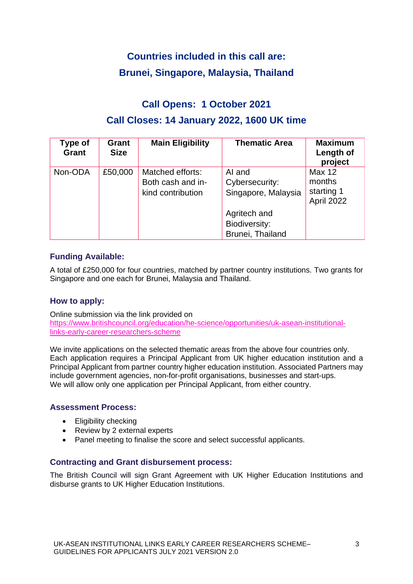# **Countries included in this call are: Brunei, Singapore, Malaysia, Thailand**

# **Call Opens: 1 October 2021 Call Closes: 14 January 2022, 1600 UK time**

| Type of<br>Grant | Grant<br><b>Size</b> | <b>Main Eligibility</b>                                    | <b>Thematic Area</b>                              | <b>Maximum</b><br>Length of<br>project              |
|------------------|----------------------|------------------------------------------------------------|---------------------------------------------------|-----------------------------------------------------|
| Non-ODA          | £50,000              | Matched efforts:<br>Both cash and in-<br>kind contribution | AI and<br>Cybersecurity:<br>Singapore, Malaysia   | <b>Max 12</b><br>months<br>starting 1<br>April 2022 |
|                  |                      |                                                            | Agritech and<br>Biodiversity:<br>Brunei, Thailand |                                                     |

#### **Funding Available:**

A total of £250,000 for four countries, matched by partner country institutions. Two grants for Singapore and one each for Brunei, Malaysia and Thailand.

#### **How to apply:**

Online submission via the link provided on [https://www.britishcouncil.org/education/he-science/opportunities/uk-asean-institutional](https://www.britishcouncil.org/education/he-science/opportunities/uk-asean-institutional-links-early-career-researchers-scheme)[links-early-career-researchers-scheme](https://www.britishcouncil.org/education/he-science/opportunities/uk-asean-institutional-links-early-career-researchers-scheme)

We invite applications on the selected thematic areas from the above four countries only. Each application requires a Principal Applicant from UK higher education institution and a Principal Applicant from partner country higher education institution. Associated Partners may include government agencies, non-for-profit organisations, businesses and start-ups. We will allow only one application per Principal Applicant, from either country.

#### **Assessment Process:**

- Eligibility checking
- Review by 2 external experts
- Panel meeting to finalise the score and select successful applicants.

#### **Contracting and Grant disbursement process:**

The British Council will sign Grant Agreement with UK Higher Education Institutions and disburse grants to UK Higher Education Institutions.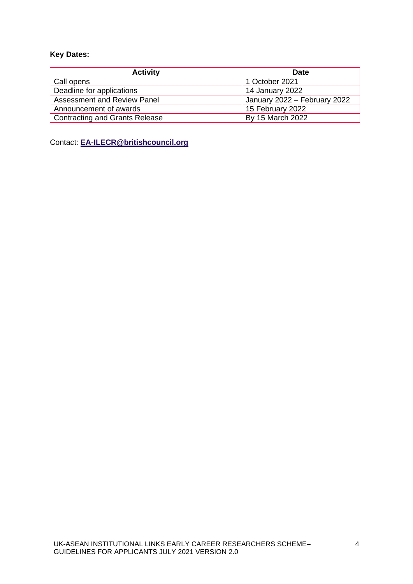#### **Key Dates:**

| <b>Activity</b>                       | <b>Date</b>                  |
|---------------------------------------|------------------------------|
| Call opens                            | 1 October 2021               |
| Deadline for applications             | 14 January 2022              |
| <b>Assessment and Review Panel</b>    | January 2022 - February 2022 |
| Announcement of awards                | 15 February 2022             |
| <b>Contracting and Grants Release</b> | By 15 March 2022             |

Contact: **[EA-ILECR@britishcouncil.org](mailto:EAILECR@britishcouncil.org)**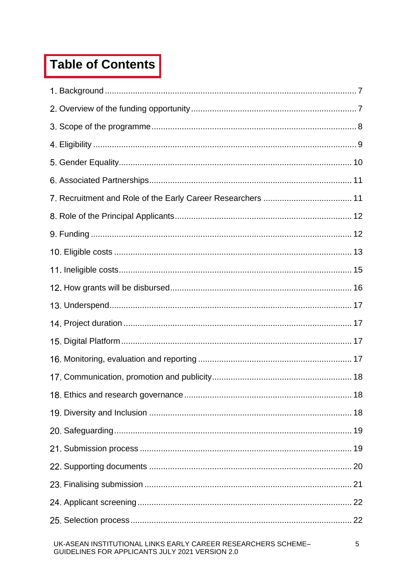# **Table of Contents**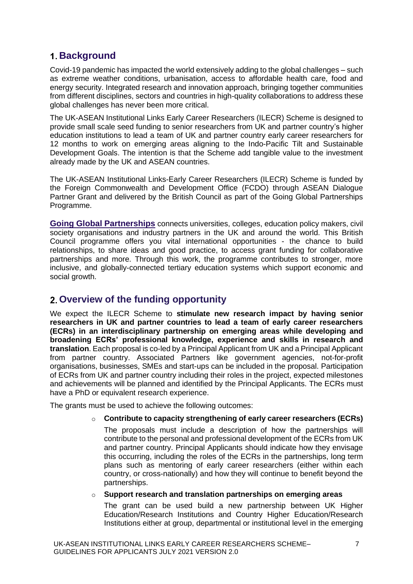### <span id="page-6-0"></span>**Background**

Covid-19 pandemic has impacted the world extensively adding to the global challenges – such as extreme weather conditions, urbanisation, access to affordable health care, food and energy security. Integrated research and innovation approach, bringing together communities from different disciplines, sectors and countries in high-quality collaborations to address these global challenges has never been more critical.

The UK-ASEAN Institutional Links Early Career Researchers (ILECR) Scheme is designed to provide small scale seed funding to senior researchers from UK and partner country's higher education institutions to lead a team of UK and partner country early career researchers for 12 months to work on emerging areas aligning to the Indo-Pacific Tilt and Sustainable Development Goals. The intention is that the Scheme add tangible value to the investment already made by the UK and ASEAN countries.

The UK-ASEAN Institutional Links-Early Career Researchers (ILECR) Scheme is funded by the Foreign Commonwealth and Development Office (FCDO) through ASEAN Dialogue Partner Grant and delivered by the British Council as part of the Going Global Partnerships Programme.

**[Going Global Partnerships](https://www.britishcouncil.org/education/he-science/going-global-partnerships)** connects universities, colleges, education policy makers, civil society organisations and industry partners in the UK and around the world. This British Council programme offers you vital international opportunities - the chance to build relationships, to share ideas and good practice, to access grant funding for collaborative partnerships and more. Through this work, the programme contributes to stronger, more inclusive, and globally-connected tertiary education systems which support economic and social growth.

### <span id="page-6-1"></span>**Overview of the funding opportunity**

We expect the ILECR Scheme to **stimulate new research impact by having senior researchers in UK and partner countries to lead a team of early career researchers (ECRs) in an interdisciplinary partnership on emerging areas while developing and broadening ECRs' professional knowledge, experience and skills in research and translation**. Each proposal is co-led by a Principal Applicant from UK and a Principal Applicant from partner country. Associated Partners like government agencies, not-for-profit organisations, businesses, SMEs and start-ups can be included in the proposal. Participation of ECRs from UK and partner country including their roles in the project, expected milestones and achievements will be planned and identified by the Principal Applicants. The ECRs must have a PhD or equivalent research experience.

The grants must be used to achieve the following outcomes:

#### o **Contribute to capacity strengthening of early career researchers (ECRs)**

The proposals must include a description of how the partnerships will contribute to the personal and professional development of the ECRs from UK and partner country. Principal Applicants should indicate how they envisage this occurring, including the roles of the ECRs in the partnerships, long term plans such as mentoring of early career researchers (either within each country, or cross-nationally) and how they will continue to benefit beyond the partnerships.

o **Support research and translation partnerships on emerging areas**

The grant can be used build a new partnership between UK Higher Education/Research Institutions and Country Higher Education/Research Institutions either at group, departmental or institutional level in the emerging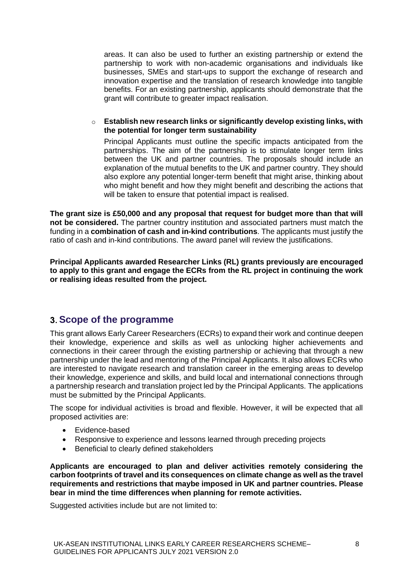areas. It can also be used to further an existing partnership or extend the partnership to work with non-academic organisations and individuals like businesses, SMEs and start-ups to support the exchange of research and innovation expertise and the translation of research knowledge into tangible benefits. For an existing partnership, applicants should demonstrate that the grant will contribute to greater impact realisation.

#### o **Establish new research links or significantly develop existing links, with the potential for longer term sustainability**

Principal Applicants must outline the specific impacts anticipated from the partnerships. The aim of the partnership is to stimulate longer term links between the UK and partner countries. The proposals should include an explanation of the mutual benefits to the UK and partner country. They should also explore any potential longer-term benefit that might arise, thinking about who might benefit and how they might benefit and describing the actions that will be taken to ensure that potential impact is realised.

**The grant size is £50,000 and any proposal that request for budget more than that will not be considered.** The partner country institution and associated partners must match the funding in a **combination of cash and in-kind contributions**. The applicants must justify the ratio of cash and in-kind contributions. The award panel will review the justifications.

**Principal Applicants awarded Researcher Links (RL) grants previously are encouraged to apply to this grant and engage the ECRs from the RL project in continuing the work or realising ideas resulted from the project.** 

### <span id="page-7-0"></span>**Scope of the programme**

This grant allows Early Career Researchers (ECRs) to expand their work and continue deepen their knowledge, experience and skills as well as unlocking higher achievements and connections in their career through the existing partnership or achieving that through a new partnership under the lead and mentoring of the Principal Applicants. It also allows ECRs who are interested to navigate research and translation career in the emerging areas to develop their knowledge, experience and skills, and build local and international connections through a partnership research and translation project led by the Principal Applicants. The applications must be submitted by the Principal Applicants.

The scope for individual activities is broad and flexible. However, it will be expected that all proposed activities are:

- Evidence-based
- Responsive to experience and lessons learned through preceding projects
- Beneficial to clearly defined stakeholders

**Applicants are encouraged to plan and deliver activities remotely considering the carbon footprints of travel and its consequences on climate change as well as the travel requirements and restrictions that maybe imposed in UK and partner countries. Please bear in mind the time differences when planning for remote activities.**

Suggested activities include but are not limited to: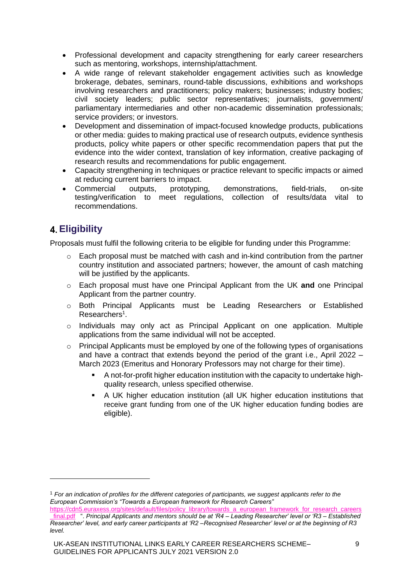- Professional development and capacity strengthening for early career researchers such as mentoring, workshops, internship/attachment.
- A wide range of relevant stakeholder engagement activities such as knowledge brokerage, debates, seminars, round-table discussions, exhibitions and workshops involving researchers and practitioners; policy makers; businesses; industry bodies; civil society leaders; public sector representatives; journalists, government/ parliamentary intermediaries and other non-academic dissemination professionals; service providers; or investors.
- Development and dissemination of impact-focused knowledge products, publications or other media: guides to making practical use of research outputs, evidence synthesis products, policy white papers or other specific recommendation papers that put the evidence into the wider context, translation of key information, creative packaging of research results and recommendations for public engagement.
- Capacity strengthening in techniques or practice relevant to specific impacts or aimed at reducing current barriers to impact.
- Commercial outputs, prototyping, demonstrations, field-trials, on-site testing/verification to meet regulations, collection of results/data vital to recommendations.

### <span id="page-8-0"></span>**Eligibility**

Proposals must fulfil the following criteria to be eligible for funding under this Programme:

- $\circ$  Each proposal must be matched with cash and in-kind contribution from the partner country institution and associated partners; however, the amount of cash matching will be justified by the applicants.
- o Each proposal must have one Principal Applicant from the UK **and** one Principal Applicant from the partner country.
- o Both Principal Applicants must be Leading Researchers or Established Researchers<sup>1</sup>.
- $\circ$  Individuals may only act as Principal Applicant on one application. Multiple applications from the same individual will not be accepted.
- $\circ$  Principal Applicants must be employed by one of the following types of organisations and have a contract that extends beyond the period of the grant i.e., April 2022 – March 2023 (Emeritus and Honorary Professors may not charge for their time).
	- A not-for-profit higher education institution with the capacity to undertake highquality research, unless specified otherwise.
	- A UK higher education institution (all UK higher education institutions that receive grant funding from one of the UK higher education funding bodies are eligible).

<sup>1</sup> *For an indication of profiles for the different categories of participants, we suggest applicants refer to the European Commission's "Towards a European framework for Research Careers"*

[https://cdn5.euraxess.org/sites/default/files/policy\\_library/towards\\_a\\_european\\_framework\\_for\\_research\\_careers](https://cdn5.euraxess.org/sites/default/files/policy_library/towards_a_european_framework_for_research_careers_final.pdf) [\\_final.pdf](https://cdn5.euraxess.org/sites/default/files/policy_library/towards_a_european_framework_for_research_careers_final.pdf) ". *Principal Applicants and mentors should be at 'R4 – Leading Researcher' level or 'R3 – Established Researcher' level, and early career participants at 'R2 –Recognised Researcher' level or at the beginning of R3 level.*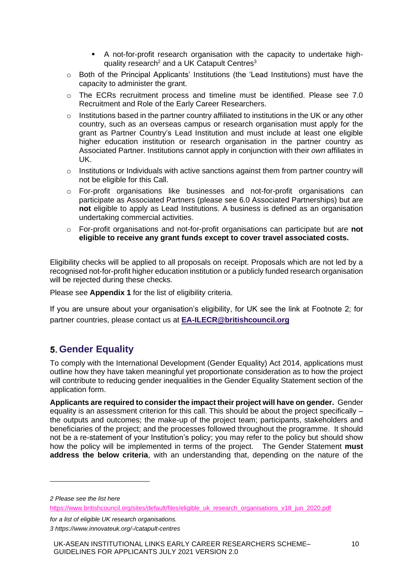- A not-for-profit research organisation with the capacity to undertake highquality research<sup>2</sup> and a UK Catapult Centres<sup>3</sup>
- $\circ$  Both of the Principal Applicants' Institutions (the 'Lead Institutions) must have the capacity to administer the grant.
- $\circ$  The ECRs recruitment process and timeline must be identified. Please see 7.0 Recruitment and Role of the Early Career Researchers.
- o Institutions based in the partner country affiliated to institutions in the UK or any other country, such as an overseas campus or research organisation must apply for the grant as Partner Country's Lead Institution and must include at least one eligible higher education institution or research organisation in the partner country as Associated Partner. Institutions cannot apply in conjunction with their *own* affiliates in UK.
- o Institutions or Individuals with active sanctions against them from partner country will not be eligible for this Call.
- o For-profit organisations like businesses and not-for-profit organisations can participate as Associated Partners (please see 6.0 Associated Partnerships) but are **not** eligible to apply as Lead Institutions. A business is defined as an organisation undertaking commercial activities.
- o For-profit organisations and not-for-profit organisations can participate but are **not eligible to receive any grant funds except to cover travel associated costs.**

Eligibility checks will be applied to all proposals on receipt. Proposals which are not led by a recognised not-for-profit higher education institution or a publicly funded research organisation will be rejected during these checks.

Please see **Appendix 1** for the list of eligibility criteria.

If you are unsure about your organisation's eligibility, for UK see the link at Footnote 2; for partner countries, please contact us at **[EA-ILECR@britishcouncil.org](mailto:EA-ILECR@britishcouncil.org)**

### <span id="page-9-0"></span>**Gender Equality**

To comply with the International Development (Gender Equality) Act 2014, applications must outline how they have taken meaningful yet proportionate consideration as to how the project will contribute to reducing gender inequalities in the Gender Equality Statement section of the application form.

**Applicants are required to consider the impact their project will have on gender.** Gender equality is an assessment criterion for this call. This should be about the project specifically – the outputs and outcomes; the make-up of the project team; participants, stakeholders and beneficiaries of the project; and the processes followed throughout the programme. It should not be a re-statement of your Institution's policy; you may refer to the policy but should show how the policy will be implemented in terms of the project. The Gender Statement **must address the below criteria**, with an understanding that, depending on the nature of the

*for a list of eligible UK research organisations. 3 <https://www.innovateuk.org/-/catapult-centres>*

*<sup>2</sup> Please see the list here* 

[https://www.britishcouncil.org/sites/default/files/eligible\\_uk\\_research\\_organisations\\_v18\\_jun\\_2020.pdf](https://www.britishcouncil.org/sites/default/files/eligible_uk_research_organisations_v18_jun_2020.pdf)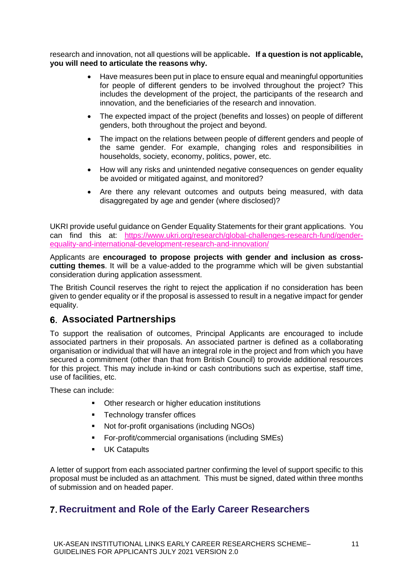research and innovation, not all questions will be applicable**. If a question is not applicable, you will need to articulate the reasons why.**

- Have measures been put in place to ensure equal and meaningful opportunities for people of different genders to be involved throughout the project? This includes the development of the project, the participants of the research and innovation, and the beneficiaries of the research and innovation.
- The expected impact of the project (benefits and losses) on people of different genders, both throughout the project and beyond.
- The impact on the relations between people of different genders and people of the same gender. For example, changing roles and responsibilities in households, society, economy, politics, power, etc.
- How will any risks and unintended negative consequences on gender equality be avoided or mitigated against, and monitored?
- Are there any relevant outcomes and outputs being measured, with data disaggregated by age and gender (where disclosed)?

UKRI provide useful guidance on Gender Equality Statements for their grant applications. You can find this at: [https://www.ukri.org/research/global-challenges-research-fund/gender](https://www.ukri.org/research/global-challenges-research-fund/gender-equality-and-international-development-research-and-innovation/)[equality-and-international-development-research-and-innovation/](https://www.ukri.org/research/global-challenges-research-fund/gender-equality-and-international-development-research-and-innovation/) 

Applicants are **encouraged to propose projects with gender and inclusion as crosscutting themes**. It will be a value-added to the programme which will be given substantial consideration during application assessment.

The British Council reserves the right to reject the application if no consideration has been given to gender equality or if the proposal is assessed to result in a negative impact for gender equality.

### <span id="page-10-0"></span>**Associated Partnerships**

To support the realisation of outcomes, Principal Applicants are encouraged to include associated partners in their proposals. An associated partner is defined as a collaborating organisation or individual that will have an integral role in the project and from which you have secured a commitment (other than that from British Council) to provide additional resources for this project. This may include in-kind or cash contributions such as expertise, staff time, use of facilities, etc.

These can include:

- Other research or higher education institutions
- Technology transfer offices
- Not for-profit organisations (including NGOs)
- For-profit/commercial organisations (including SMEs)
- **•** UK Catapults

A letter of support from each associated partner confirming the level of support specific to this proposal must be included as an attachment. This must be signed, dated within three months of submission and on headed paper.

### <span id="page-10-1"></span>**Recruitment and Role of the Early Career Researchers**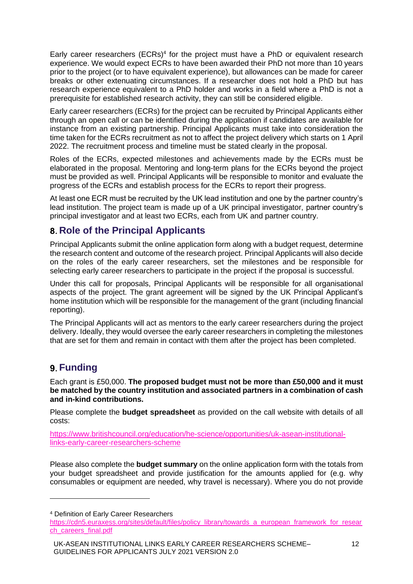Early career researchers  $(ECRs)^4$  for the project must have a PhD or equivalent research experience. We would expect ECRs to have been awarded their PhD not more than 10 years prior to the project (or to have equivalent experience), but allowances can be made for career breaks or other extenuating circumstances. If a researcher does not hold a PhD but has research experience equivalent to a PhD holder and works in a field where a PhD is not a prerequisite for established research activity, they can still be considered eligible.

Early career researchers (ECRs) for the project can be recruited by Principal Applicants either through an open call or can be identified during the application if candidates are available for instance from an existing partnership. Principal Applicants must take into consideration the time taken for the ECRs recruitment as not to affect the project delivery which starts on 1 April 2022. The recruitment process and timeline must be stated clearly in the proposal.

Roles of the ECRs, expected milestones and achievements made by the ECRs must be elaborated in the proposal. Mentoring and long-term plans for the ECRs beyond the project must be provided as well. Principal Applicants will be responsible to monitor and evaluate the progress of the ECRs and establish process for the ECRs to report their progress.

At least one ECR must be recruited by the UK lead institution and one by the partner country's lead institution. The project team is made up of a UK principal investigator, partner country's principal investigator and at least two ECRs, each from UK and partner country.

### <span id="page-11-0"></span>**Role of the Principal Applicants**

Principal Applicants submit the online application form along with a budget request, determine the research content and outcome of the research project. Principal Applicants will also decide on the roles of the early career researchers, set the milestones and be responsible for selecting early career researchers to participate in the project if the proposal is successful.

Under this call for proposals, Principal Applicants will be responsible for all organisational aspects of the project. The grant agreement will be signed by the UK Principal Applicant's home institution which will be responsible for the management of the grant (including financial reporting).

The Principal Applicants will act as mentors to the early career researchers during the project delivery. Ideally, they would oversee the early career researchers in completing the milestones that are set for them and remain in contact with them after the project has been completed.

### <span id="page-11-1"></span>**Funding**

Each grant is £50,000. **The proposed budget must not be more than £50,000 and it must be matched by the country institution and associated partners in a combination of cash and in-kind contributions.** 

Please complete the **budget spreadsheet** as provided on the call website with details of all costs:

[https://www.britishcouncil.org/education/he-science/opportunities/uk-asean-institutional](https://www.britishcouncil.org/education/he-science/opportunities/uk-asean-institutional-links-early-career-researchers-scheme)[links-early-career-researchers-scheme](https://www.britishcouncil.org/education/he-science/opportunities/uk-asean-institutional-links-early-career-researchers-scheme)

Please also complete the **budget summary** on the online application form with the totals from your budget spreadsheet and provide justification for the amounts applied for (e.g. why consumables or equipment are needed, why travel is necessary). Where you do not provide

<sup>4</sup> Definition of Early Career Researchers

[https://cdn5.euraxess.org/sites/default/files/policy\\_library/towards\\_a\\_european\\_framework\\_for\\_resear](https://cdn5.euraxess.org/sites/default/files/policy_library/towards_a_european_framework_for_research_careers_final.pdf) [ch\\_careers\\_final.pdf](https://cdn5.euraxess.org/sites/default/files/policy_library/towards_a_european_framework_for_research_careers_final.pdf)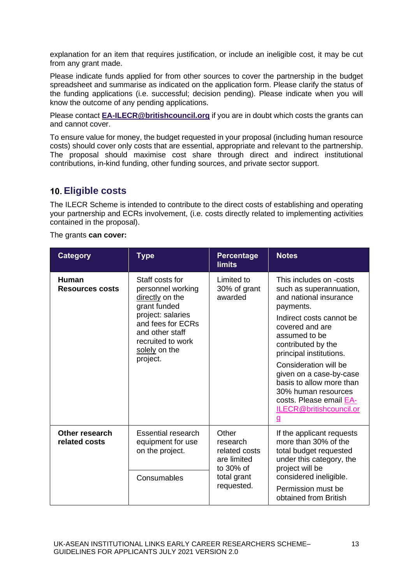explanation for an item that requires justification, or include an ineligible cost, it may be cut from any grant made.

Please indicate funds applied for from other sources to cover the partnership in the budget spreadsheet and summarise as indicated on the application form. Please clarify the status of the funding applications (i.e. successful; decision pending). Please indicate when you will know the outcome of any pending applications.

Please contact **[EA-ILECR@britishcouncil.org](mailto:EA-ILECR@britishcouncil.org)** if you are in doubt which costs the grants can and cannot cover.

To ensure value for money, the budget requested in your proposal (including human resource costs) should cover only costs that are essential, appropriate and relevant to the partnership. The proposal should maximise cost share through direct and indirect institutional contributions, in-kind funding, other funding sources, and private sector support.

### <span id="page-12-0"></span>**Eligible costs**

The ILECR Scheme is intended to contribute to the direct costs of establishing and operating your partnership and ECRs involvement, (i.e. costs directly related to implementing activities contained in the proposal).

The grants **can cover:**

| <b>Category</b>                        | <b>Type</b>                                                                                                                                                                            | <b>Percentage</b><br><b>limits</b>                             | <b>Notes</b>                                                                                                                                                                                                                                                                                                                                                                 |
|----------------------------------------|----------------------------------------------------------------------------------------------------------------------------------------------------------------------------------------|----------------------------------------------------------------|------------------------------------------------------------------------------------------------------------------------------------------------------------------------------------------------------------------------------------------------------------------------------------------------------------------------------------------------------------------------------|
| <b>Human</b><br><b>Resources costs</b> | Staff costs for<br>personnel working<br>directly on the<br>grant funded<br>project: salaries<br>and fees for ECRs<br>and other staff<br>recruited to work<br>solely on the<br>project. | Limited to<br>30% of grant<br>awarded                          | This includes on -costs<br>such as superannuation,<br>and national insurance<br>payments.<br>Indirect costs cannot be<br>covered and are<br>assumed to be<br>contributed by the<br>principal institutions.<br>Consideration will be<br>given on a case-by-case<br>basis to allow more than<br>30% human resources<br>costs. Please email EA-<br>ILECR@britishcouncil.or<br>g |
| Other research<br>related costs        | <b>Essential research</b><br>equipment for use<br>on the project.                                                                                                                      | Other<br>research<br>related costs<br>are limited<br>to 30% of | If the applicant requests<br>more than 30% of the<br>total budget requested<br>under this category, the<br>project will be                                                                                                                                                                                                                                                   |
|                                        | Consumables                                                                                                                                                                            | total grant<br>requested.                                      | considered ineligible.<br>Permission must be<br>obtained from British                                                                                                                                                                                                                                                                                                        |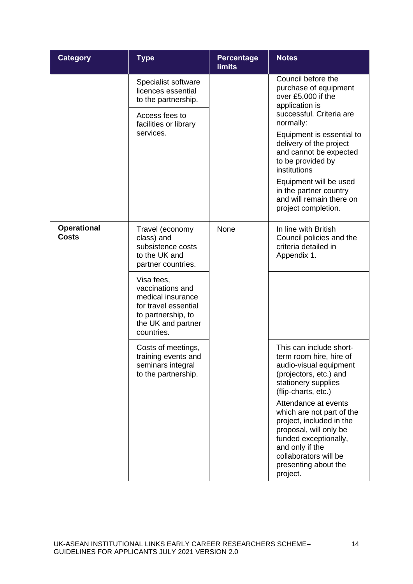| <b>Category</b>                    | <b>Type</b>                                                                                                                           | <b>Percentage</b><br><b>limits</b> | <b>Notes</b>                                                                                                                                                                                                     |
|------------------------------------|---------------------------------------------------------------------------------------------------------------------------------------|------------------------------------|------------------------------------------------------------------------------------------------------------------------------------------------------------------------------------------------------------------|
|                                    | Specialist software<br>licences essential<br>to the partnership.                                                                      |                                    | Council before the<br>purchase of equipment<br>over £5,000 if the<br>application is                                                                                                                              |
|                                    | Access fees to<br>facilities or library                                                                                               |                                    | successful. Criteria are<br>normally:                                                                                                                                                                            |
|                                    | services.                                                                                                                             |                                    | Equipment is essential to<br>delivery of the project<br>and cannot be expected<br>to be provided by<br>institutions                                                                                              |
|                                    |                                                                                                                                       |                                    | Equipment will be used<br>in the partner country<br>and will remain there on<br>project completion.                                                                                                              |
| <b>Operational</b><br><b>Costs</b> | Travel (economy<br>class) and<br>subsistence costs<br>to the UK and<br>partner countries.                                             | None                               | In line with British<br>Council policies and the<br>criteria detailed in<br>Appendix 1.                                                                                                                          |
|                                    | Visa fees,<br>vaccinations and<br>medical insurance<br>for travel essential<br>to partnership, to<br>the UK and partner<br>countries. |                                    |                                                                                                                                                                                                                  |
|                                    | Costs of meetings,<br>training events and<br>seminars integral<br>to the partnership.                                                 |                                    | This can include short-<br>term room hire, hire of<br>audio-visual equipment<br>(projectors, etc.) and<br>stationery supplies<br>(flip-charts, etc.)                                                             |
|                                    |                                                                                                                                       |                                    | Attendance at events<br>which are not part of the<br>project, included in the<br>proposal, will only be<br>funded exceptionally,<br>and only if the<br>collaborators will be<br>presenting about the<br>project. |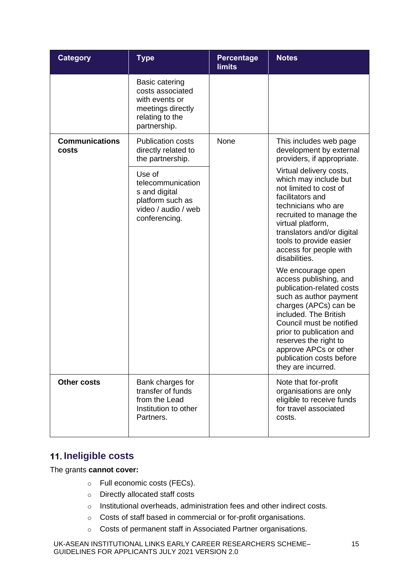| <b>Category</b>                | <b>Type</b>                                                                                                         | <b>Percentage</b><br><b>limits</b> | <b>Notes</b>                                                                                                                                                                                                                                                                                                                                                                                                                                                                                                                                                                                  |
|--------------------------------|---------------------------------------------------------------------------------------------------------------------|------------------------------------|-----------------------------------------------------------------------------------------------------------------------------------------------------------------------------------------------------------------------------------------------------------------------------------------------------------------------------------------------------------------------------------------------------------------------------------------------------------------------------------------------------------------------------------------------------------------------------------------------|
|                                | <b>Basic catering</b><br>costs associated<br>with events or<br>meetings directly<br>relating to the<br>partnership. |                                    |                                                                                                                                                                                                                                                                                                                                                                                                                                                                                                                                                                                               |
| <b>Communications</b><br>costs | <b>Publication costs</b><br>directly related to<br>the partnership.                                                 | None                               | This includes web page<br>development by external<br>providers, if appropriate.                                                                                                                                                                                                                                                                                                                                                                                                                                                                                                               |
|                                | Use of<br>telecommunication<br>s and digital<br>platform such as<br>video / audio / web<br>conferencing.            |                                    | Virtual delivery costs,<br>which may include but<br>not limited to cost of<br>facilitators and<br>technicians who are<br>recruited to manage the<br>virtual platform,<br>translators and/or digital<br>tools to provide easier<br>access for people with<br>disabilities.<br>We encourage open<br>access publishing, and<br>publication-related costs<br>such as author payment<br>charges (APCs) can be<br>included. The British<br>Council must be notified<br>prior to publication and<br>reserves the right to<br>approve APCs or other<br>publication costs before<br>they are incurred. |
| <b>Other costs</b>             | Bank charges for<br>transfer of funds<br>from the Lead<br>Institution to other<br>Partners.                         |                                    | Note that for-profit<br>organisations are only<br>eligible to receive funds<br>for travel associated<br>costs.                                                                                                                                                                                                                                                                                                                                                                                                                                                                                |

### <span id="page-14-0"></span>**Ineligible costs**

The grants **cannot cover:**

- o Full economic costs (FECs).
- o Directly allocated staff costs
- o Institutional overheads, administration fees and other indirect costs.
- o Costs of staff based in commercial or for-profit organisations.
- o Costs of permanent staff in Associated Partner organisations.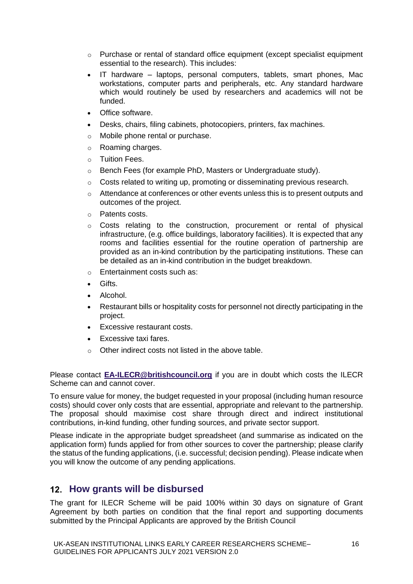- $\circ$  Purchase or rental of standard office equipment (except specialist equipment essential to the research). This includes:
- IT hardware laptops, personal computers, tablets, smart phones, Mac workstations, computer parts and peripherals, etc. Any standard hardware which would routinely be used by researchers and academics will not be funded.
- Office software.
- Desks, chairs, filing cabinets, photocopiers, printers, fax machines.
- o Mobile phone rental or purchase.
- o Roaming charges.
- o Tuition Fees.
- o Bench Fees (for example PhD, Masters or Undergraduate study).
- $\circ$  Costs related to writing up, promoting or disseminating previous research.
- o Attendance at conferences or other events unless this is to present outputs and outcomes of the project.
- o Patents costs.
- o Costs relating to the construction, procurement or rental of physical infrastructure, (e.g. office buildings, laboratory facilities). It is expected that any rooms and facilities essential for the routine operation of partnership are provided as an in-kind contribution by the participating institutions. These can be detailed as an in-kind contribution in the budget breakdown.
- o Entertainment costs such as:
- Gifts.
- Alcohol.
- Restaurant bills or hospitality costs for personnel not directly participating in the project.
- Excessive restaurant costs.
- Excessive taxi fares.
- o Other indirect costs not listed in the above table.

Please contact **[EA-ILECR@britishcouncil.org](mailto:UK-ILECRs@britishcouncil.org)** if you are in doubt which costs the ILECR Scheme can and cannot cover.

To ensure value for money, the budget requested in your proposal (including human resource costs) should cover only costs that are essential, appropriate and relevant to the partnership. The proposal should maximise cost share through direct and indirect institutional contributions, in-kind funding, other funding sources, and private sector support.

Please indicate in the appropriate budget spreadsheet (and summarise as indicated on the application form) funds applied for from other sources to cover the partnership; please clarify the status of the funding applications, (i.e. successful; decision pending). Please indicate when you will know the outcome of any pending applications.

### <span id="page-15-0"></span>12. How grants will be disbursed

The grant for ILECR Scheme will be paid 100% within 30 days on signature of Grant Agreement by both parties on condition that the final report and supporting documents submitted by the Principal Applicants are approved by the British Council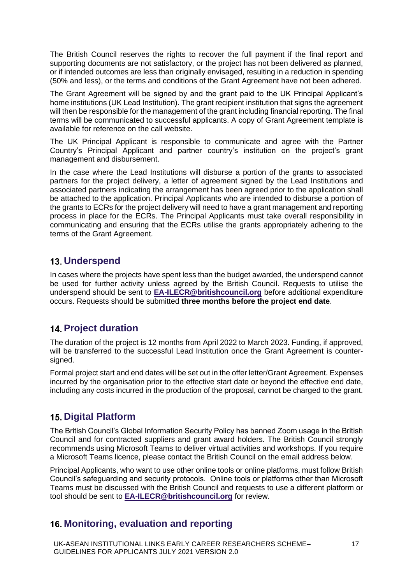The British Council reserves the rights to recover the full payment if the final report and supporting documents are not satisfactory, or the project has not been delivered as planned, or if intended outcomes are less than originally envisaged, resulting in a reduction in spending (50% and less), or the terms and conditions of the Grant Agreement have not been adhered.

The Grant Agreement will be signed by and the grant paid to the UK Principal Applicant's home institutions (UK Lead Institution). The grant recipient institution that signs the agreement will then be responsible for the management of the grant including financial reporting. The final terms will be communicated to successful applicants. A copy of Grant Agreement template is available for reference on the call website.

The UK Principal Applicant is responsible to communicate and agree with the Partner Country's Principal Applicant and partner country's institution on the project's grant management and disbursement.

In the case where the Lead Institutions will disburse a portion of the grants to associated partners for the project delivery, a letter of agreement signed by the Lead Institutions and associated partners indicating the arrangement has been agreed prior to the application shall be attached to the application. Principal Applicants who are intended to disburse a portion of the grants to ECRs for the project delivery will need to have a grant management and reporting process in place for the ECRs. The Principal Applicants must take overall responsibility in communicating and ensuring that the ECRs utilise the grants appropriately adhering to the terms of the Grant Agreement.

### <span id="page-16-0"></span>**13. Underspend**

In cases where the projects have spent less than the budget awarded, the underspend cannot be used for further activity unless agreed by the British Council. Requests to utilise the underspend should be sent to **[EA-ILECR@britishcouncil.org](mailto:UK-ILECRs@britishcouncil.org)** before additional expenditure occurs. Requests should be submitted **three months before the project end date**.

### <span id="page-16-1"></span>**14. Project duration**

The duration of the project is 12 months from April 2022 to March 2023. Funding, if approved, will be transferred to the successful Lead Institution once the Grant Agreement is countersigned.

Formal project start and end dates will be set out in the offer letter/Grant Agreement. Expenses incurred by the organisation prior to the effective start date or beyond the effective end date, including any costs incurred in the production of the proposal, cannot be charged to the grant.

### <span id="page-16-2"></span>**15. Digital Platform**

The British Council's Global Information Security Policy has banned Zoom usage in the British Council and for contracted suppliers and grant award holders. The British Council strongly recommends using Microsoft Teams to deliver virtual activities and workshops. If you require a Microsoft Teams licence, please contact the British Council on the email address below.

Principal Applicants, who want to use other online tools or online platforms, must follow British Council's safeguarding and security protocols. Online tools or platforms other than Microsoft Teams must be discussed with the British Council and requests to use a different platform or tool should be sent to **[EA-ILECR@britishcouncil.org](mailto:UK-ILECRs@britishcouncil.org)** for review.

### <span id="page-16-3"></span>**Monitoring, evaluation and reporting**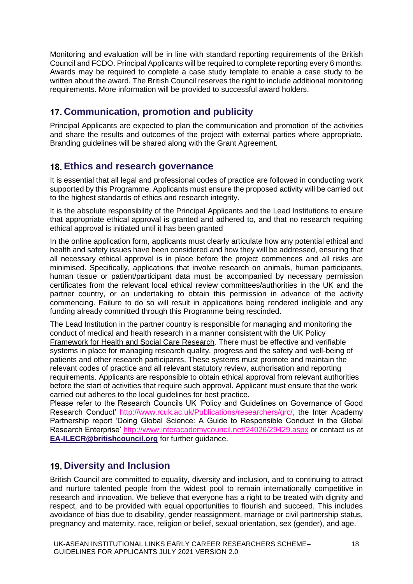Monitoring and evaluation will be in line with standard reporting requirements of the British Council and FCDO. Principal Applicants will be required to complete reporting every 6 months. Awards may be required to complete a case study template to enable a case study to be written about the award. The British Council reserves the right to include additional monitoring requirements. More information will be provided to successful award holders.

### <span id="page-17-0"></span>**Communication, promotion and publicity**

Principal Applicants are expected to plan the communication and promotion of the activities and share the results and outcomes of the project with external parties where appropriate. Branding guidelines will be shared along with the Grant Agreement.

### <span id="page-17-1"></span>**Ethics and research governance**

It is essential that all legal and professional codes of practice are followed in conducting work supported by this Programme. Applicants must ensure the proposed activity will be carried out to the highest standards of ethics and research integrity.

It is the absolute responsibility of the Principal Applicants and the Lead Institutions to ensure that appropriate ethical approval is granted and adhered to, and that no research requiring ethical approval is initiated until it has been granted

In the online application form, applicants must clearly articulate how any potential ethical and health and safety issues have been considered and how they will be addressed, ensuring that all necessary ethical approval is in place before the project commences and all risks are minimised. Specifically, applications that involve research on animals, human participants, human tissue or patient/participant data must be accompanied by necessary permission certificates from the relevant local ethical review committees/authorities in the UK and the partner country, or an undertaking to obtain this permission in advance of the activity commencing. Failure to do so will result in applications being rendered ineligible and any funding already committed through this Programme being rescinded.

The Lead Institution in the partner country is responsible for managing and monitoring the conduct of medical and health research in a manner consistent with the [UK Policy](https://www.hra.nhs.uk/planning-and-improving-research/policies-standards-legislation/uk-policy-framework-health-social-care-research/)  [Framework for Health and Social Care Research.](https://www.hra.nhs.uk/planning-and-improving-research/policies-standards-legislation/uk-policy-framework-health-social-care-research/) There must be effective and verifiable systems in place for managing research quality, progress and the safety and well-being of patients and other research participants. These systems must promote and maintain the relevant codes of practice and all relevant statutory review, authorisation and reporting requirements. Applicants are responsible to obtain ethical approval from relevant authorities before the start of activities that require such approval. Applicant must ensure that the work carried out adheres to the local guidelines for best practice.

Please refer to the Research Councils UK 'Policy and Guidelines on Governance of Good Research Conduct' [http://www.rcuk.ac.uk/Publications/researchers/grc/,](http://www.rcuk.ac.uk/Publications/researchers/grc/) the Inter Academy Partnership report 'Doing Global Science: A Guide to Responsible Conduct in the Global Research Enterprise'<http://www.interacademycouncil.net/24026/29429.aspx> or contact us at **[EA-ILECR@britishcouncil.org](mailto:UK-ILECRs@britishcouncil.org)** for further guidance.

### <span id="page-17-2"></span>**Diversity and Inclusion**

British Council are committed to equality, diversity and inclusion, and to continuing to attract and nurture talented people from the widest pool to remain internationally competitive in research and innovation. We believe that everyone has a right to be treated with dignity and respect, and to be provided with equal opportunities to flourish and succeed. This includes avoidance of bias due to disability, gender reassignment, marriage or civil partnership status, pregnancy and maternity, race, religion or belief, sexual orientation, sex (gender), and age.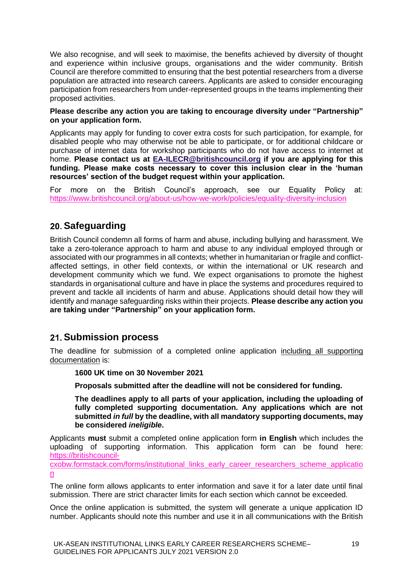We also recognise, and will seek to maximise, the benefits achieved by diversity of thought and experience within inclusive groups, organisations and the wider community. British Council are therefore committed to ensuring that the best potential researchers from a diverse population are attracted into research careers. Applicants are asked to consider encouraging participation from researchers from under-represented groups in the teams implementing their proposed activities.

#### **Please describe any action you are taking to encourage diversity under "Partnership" on your application form.**

Applicants may apply for funding to cover extra costs for such participation, for example, for disabled people who may otherwise not be able to participate, or for additional childcare or purchase of internet data for workshop participants who do not have access to internet at home. **Please contact us at [EA-ILECR@britishcouncil.org](mailto:UK-ILECRs@britishcouncil.org) if you are applying for this funding. Please make costs necessary to cover this inclusion clear in the 'human resources' section of the budget request within your application.**

For more on the British Council's approach, see our Equality Policy at: <https://www.britishcouncil.org/about-us/how-we-work/policies/equality-diversity-inclusion>

### <span id="page-18-0"></span>**Safeguarding**

British Council condemn all forms of harm and abuse, including bullying and harassment. We take a zero-tolerance approach to harm and abuse to any individual employed through or associated with our programmes in all contexts; whether in humanitarian or fragile and conflictaffected settings, in other field contexts, or within the international or UK research and development community which we fund. We expect organisations to promote the highest standards in organisational culture and have in place the systems and procedures required to prevent and tackle all incidents of harm and abuse. Applications should detail how they will identify and manage safeguarding risks within their projects. **Please describe any action you are taking under "Partnership" on your application form.** 

### <span id="page-18-1"></span>**Submission process**

The deadline for submission of a completed online application including all supporting documentation is:

#### **1600 UK time on 30 November 2021**

**Proposals submitted after the deadline will not be considered for funding.** 

**The deadlines apply to all parts of your application, including the uploading of fully completed supporting documentation. Any applications which are not submitted** *in full* **by the deadline, with all mandatory supporting documents, may be considered** *ineligible***.**

Applicants **must** submit a completed online application form **in English** which includes the uploading of supporting information. This application form can be found here: [https://britishcouncil-](https://britishcouncil-cxobw.formstack.com/forms/institutional_links_early_career_researchers_scheme_application)

[cxobw.formstack.com/forms/institutional\\_links\\_early\\_career\\_researchers\\_scheme\\_applicatio](https://britishcouncil-cxobw.formstack.com/forms/institutional_links_early_career_researchers_scheme_application) [n](https://britishcouncil-cxobw.formstack.com/forms/institutional_links_early_career_researchers_scheme_application)

The online form allows applicants to enter information and save it for a later date until final submission. There are strict character limits for each section which cannot be exceeded.

Once the online application is submitted, the system will generate a unique application ID number. Applicants should note this number and use it in all communications with the British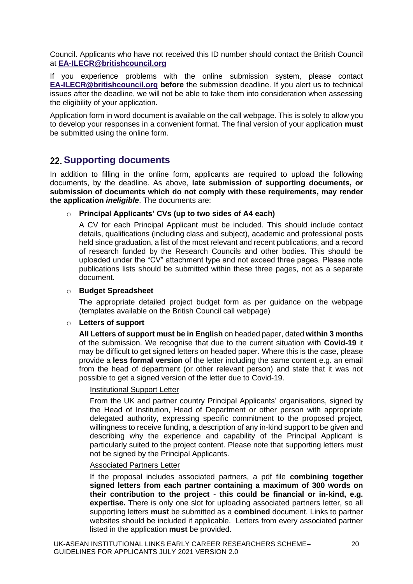Council. Applicants who have not received this ID number should contact the British Council at **[EA-ILECR@britishcouncil.org](mailto:EA-ILECR@britishcouncil.org)**

If you experience problems with the online submission system, please contact **[EA-ILECR@britishcouncil.org](mailto:UK-ILECRs@britishcouncil.org) before** the submission deadline. If you alert us to technical issues after the deadline, we will not be able to take them into consideration when assessing the eligibility of your application.

Application form in word document is available on the call webpage. This is solely to allow you to develop your responses in a convenient format. The final version of your application **must** be submitted using the online form.

### <span id="page-19-0"></span>**Supporting documents**

In addition to filling in the online form, applicants are required to upload the following documents, by the deadline. As above, **late submission of supporting documents, or submission of documents which do not comply with these requirements, may render the application** *ineligible*. The documents are:

#### o **Principal Applicants' CVs (up to two sides of A4 each)**

A CV for each Principal Applicant must be included. This should include contact details, qualifications (including class and subject), academic and professional posts held since graduation, a list of the most relevant and recent publications, and a record of research funded by the Research Councils and other bodies. This should be uploaded under the "CV" attachment type and not exceed three pages. Please note publications lists should be submitted within these three pages, not as a separate document.

#### o **Budget Spreadsheet**

The appropriate detailed project budget form as per guidance on the webpage (templates available on the British Council call webpage)

#### o **Letters of support**

**All Letters of support must be in English** on headed paper, dated **within 3 months** of the submission. We recognise that due to the current situation with **Covid-19** it may be difficult to get signed letters on headed paper. Where this is the case, please provide a **less formal version** of the letter including the same content e.g. an email from the head of department (or other relevant person) and state that it was not possible to get a signed version of the letter due to Covid-19.

#### Institutional Support Letter

From the UK and partner country Principal Applicants' organisations, signed by the Head of Institution, Head of Department or other person with appropriate delegated authority, expressing specific commitment to the proposed project, willingness to receive funding, a description of any in-kind support to be given and describing why the experience and capability of the Principal Applicant is particularly suited to the project content. Please note that supporting letters must not be signed by the Principal Applicants.

#### Associated Partners Letter

If the proposal includes associated partners, a pdf file **combining together signed letters from each partner containing a maximum of 300 words on their contribution to the project - this could be financial or in-kind, e.g. expertise.** There is only one slot for uploading associated partners letter, so all supporting letters **must** be submitted as a **combined** document. Links to partner websites should be included if applicable. Letters from every associated partner listed in the application **must** be provided.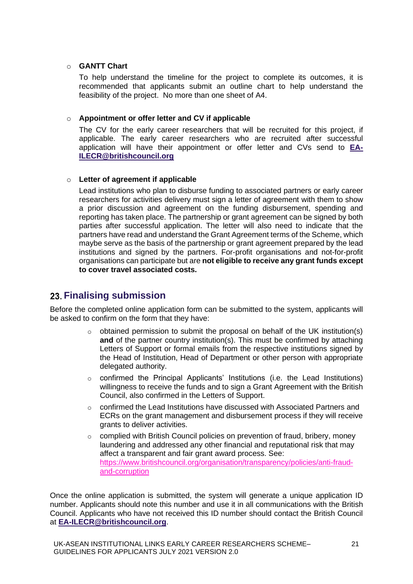#### o **GANTT Chart**

To help understand the timeline for the project to complete its outcomes, it is recommended that applicants submit an outline chart to help understand the feasibility of the project. No more than one sheet of A4.

#### o **Appointment or offer letter and CV if applicable**

The CV for the early career researchers that will be recruited for this project, if applicable. The early career researchers who are recruited after successful application will have their appointment or offer letter and CVs send to **[EA-](mailto:UK-ILECRs@britishcouncil.org)[ILECR@britishcouncil.org](mailto:UK-ILECRs@britishcouncil.org)**

#### o **Letter of agreement if applicable**

Lead institutions who plan to disburse funding to associated partners or early career researchers for activities delivery must sign a letter of agreement with them to show a prior discussion and agreement on the funding disbursement, spending and reporting has taken place. The partnership or grant agreement can be signed by both parties after successful application. The letter will also need to indicate that the partners have read and understand the Grant Agreement terms of the Scheme, which maybe serve as the basis of the partnership or grant agreement prepared by the lead institutions and signed by the partners. For-profit organisations and not-for-profit organisations can participate but are **not eligible to receive any grant funds except to cover travel associated costs.**

### <span id="page-20-0"></span>**Finalising submission**

Before the completed online application form can be submitted to the system, applicants will be asked to confirm on the form that they have:

- o obtained permission to submit the proposal on behalf of the UK institution(s) **and** of the partner country institution(s). This must be confirmed by attaching Letters of Support or formal emails from the respective institutions signed by the Head of Institution, Head of Department or other person with appropriate delegated authority.
- o confirmed the Principal Applicants' Institutions (i.e. the Lead Institutions) willingness to receive the funds and to sign a Grant Agreement with the British Council, also confirmed in the Letters of Support.
- $\circ$  confirmed the Lead Institutions have discussed with Associated Partners and ECRs on the grant management and disbursement process if they will receive grants to deliver activities.
- $\circ$  complied with British Council policies on prevention of fraud, bribery, money laundering and addressed any other financial and reputational risk that may affect a transparent and fair grant award process. See: [https://www.britishcouncil.org/organisation/transparency/policies/anti-fraud](https://www.britishcouncil.org/organisation/transparency/policies/anti-fraud-and-corruption)[and-corruption](https://www.britishcouncil.org/organisation/transparency/policies/anti-fraud-and-corruption)

Once the online application is submitted, the system will generate a unique application ID number. Applicants should note this number and use it in all communications with the British Council. Applicants who have not received this ID number should contact the British Council at **[EA-ILECR@britishcouncil.org](mailto:UK-ILECRs@britishcouncil.org)**.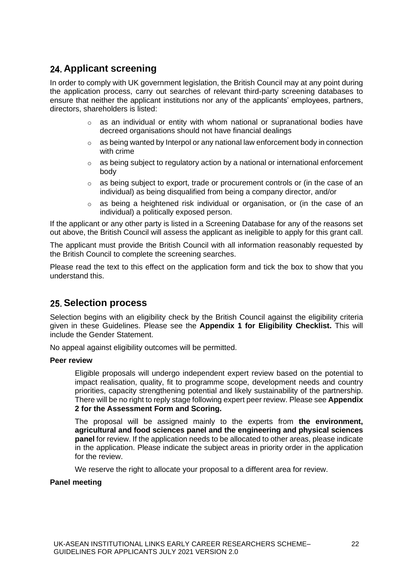### <span id="page-21-0"></span>**Applicant screening**

In order to comply with UK government legislation, the British Council may at any point during the application process, carry out searches of relevant third-party screening databases to ensure that neither the applicant institutions nor any of the applicants' employees, partners, directors, shareholders is listed:

- $\circ$  as an individual or entity with whom national or supranational bodies have decreed organisations should not have financial dealings
- $\circ$  as being wanted by Interpol or any national law enforcement body in connection with crime
- o as being subject to regulatory action by a national or international enforcement body
- $\circ$  as being subject to export, trade or procurement controls or (in the case of an individual) as being disqualified from being a company director, and/or
- $\circ$  as being a heightened risk individual or organisation, or (in the case of an individual) a politically exposed person.

If the applicant or any other party is listed in a Screening Database for any of the reasons set out above, the British Council will assess the applicant as ineligible to apply for this grant call.

The applicant must provide the British Council with all information reasonably requested by the British Council to complete the screening searches.

Please read the text to this effect on the application form and tick the box to show that you understand this.

#### <span id="page-21-1"></span>**25. Selection process**

Selection begins with an eligibility check by the British Council against the eligibility criteria given in these Guidelines. Please see the **Appendix 1 for Eligibility Checklist.** This will include the Gender Statement.

No appeal against eligibility outcomes will be permitted.

#### **Peer review**

Eligible proposals will undergo independent expert review based on the potential to impact realisation, quality, fit to programme scope, development needs and country priorities, capacity strengthening potential and likely sustainability of the partnership. There will be no right to reply stage following expert peer review. Please see **Appendix 2 for the Assessment Form and Scoring.**

The proposal will be assigned mainly to the experts from **the environment, agricultural and food sciences panel and the engineering and physical sciences panel** for review. If the application needs to be allocated to other areas, please indicate in the application. Please indicate the subject areas in priority order in the application for the review.

We reserve the right to allocate your proposal to a different area for review.

#### **Panel meeting**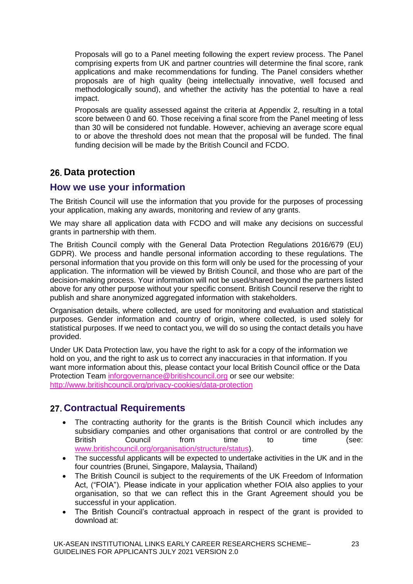Proposals will go to a Panel meeting following the expert review process. The Panel comprising experts from UK and partner countries will determine the final score, rank applications and make recommendations for funding. The Panel considers whether proposals are of high quality (being intellectually innovative, well focused and methodologically sound), and whether the activity has the potential to have a real impact.

Proposals are quality assessed against the criteria at Appendix 2, resulting in a total score between 0 and 60. Those receiving a final score from the Panel meeting of less than 30 will be considered not fundable. However, achieving an average score equal to or above the threshold does not mean that the proposal will be funded. The final funding decision will be made by the British Council and FCDO.

### <span id="page-22-0"></span>**Data protection**

#### **How we use your information**

The British Council will use the information that you provide for the purposes of processing your application, making any awards, monitoring and review of any grants.

We may share all application data with FCDO and will make any decisions on successful grants in partnership with them.

The British Council comply with the General Data Protection Regulations 2016/679 (EU) GDPR). We process and handle personal information according to these regulations. The personal information that you provide on this form will only be used for the processing of your application. The information will be viewed by British Council, and those who are part of the decision-making process. Your information will not be used/shared beyond the partners listed above for any other purpose without your specific consent. British Council reserve the right to publish and share anonymized aggregated information with stakeholders.

Organisation details, where collected, are used for monitoring and evaluation and statistical purposes. Gender information and country of origin, where collected, is used solely for statistical purposes. If we need to contact you, we will do so using the contact details you have provided.

Under UK Data Protection law, you have the right to ask for a copy of the information we hold on you, and the right to ask us to correct any inaccuracies in that information. If you want more information about this, please contact your local British Council office or the Data Protection Team [inforgovernance@britishcouncil.org](mailto:inforgovernance@britishcouncil.org) or see our website: <http://www.britishcouncil.org/privacy-cookies/data-protection>

### <span id="page-22-1"></span>**Contractual Requirements**

- The contracting authority for the grants is the British Council which includes any subsidiary companies and other organisations that control or are controlled by the British Council from time to time (see: [www.britishcouncil.org/organisation/structure/status\)](http://www.britishcouncil.org/organisation/structure/status).
- The successful applicants will be expected to undertake activities in the UK and in the four countries (Brunei, Singapore, Malaysia, Thailand)
- The British Council is subject to the requirements of the UK Freedom of Information Act, ("FOIA"). Please indicate in your application whether FOIA also applies to your organisation, so that we can reflect this in the Grant Agreement should you be successful in your application.
- The British Council's contractual approach in respect of the grant is provided to download at: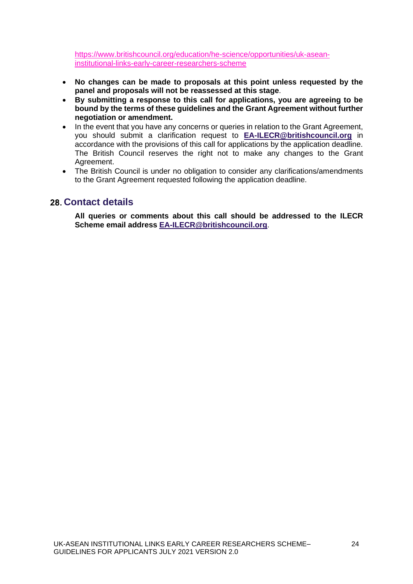[https://www.britishcouncil.org/education/he-science/opportunities/uk-asean](https://www.britishcouncil.org/education/he-science/opportunities/uk-asean-institutional-links-early-career-researchers-scheme)[institutional-links-early-career-researchers-scheme](https://www.britishcouncil.org/education/he-science/opportunities/uk-asean-institutional-links-early-career-researchers-scheme)

- **No changes can be made to proposals at this point unless requested by the panel and proposals will not be reassessed at this stage**.
- **By submitting a response to this call for applications, you are agreeing to be bound by the terms of these guidelines and the Grant Agreement without further negotiation or amendment.**
- In the event that you have any concerns or queries in relation to the Grant Agreement, you should submit a clarification request to **[EA-ILECR@britishcouncil.org](mailto:UK-ILECRs@britishcouncil.org)** in accordance with the provisions of this call for applications by the application deadline. The British Council reserves the right not to make any changes to the Grant Agreement.
- The British Council is under no obligation to consider any clarifications/amendments to the Grant Agreement requested following the application deadline.

#### <span id="page-23-0"></span>**Contact details**

<span id="page-23-1"></span>**All queries or comments about this call should be addressed to the ILECR Scheme email address [EA-ILECR@britishcouncil.org](mailto:EA-ILECR@britishcouncil.org)**.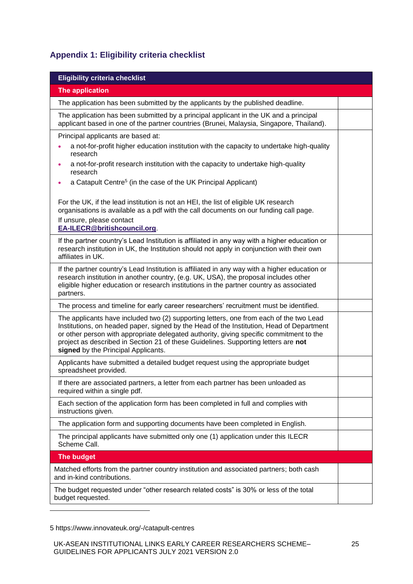### **Appendix 1: Eligibility criteria checklist**

| <b>Eligibility criteria checklist</b>                                                                                                                                                                                                                                                                                                                                                                      |  |
|------------------------------------------------------------------------------------------------------------------------------------------------------------------------------------------------------------------------------------------------------------------------------------------------------------------------------------------------------------------------------------------------------------|--|
| <b>The application</b>                                                                                                                                                                                                                                                                                                                                                                                     |  |
| The application has been submitted by the applicants by the published deadline.                                                                                                                                                                                                                                                                                                                            |  |
| The application has been submitted by a principal applicant in the UK and a principal<br>applicant based in one of the partner countries (Brunei, Malaysia, Singapore, Thailand).                                                                                                                                                                                                                          |  |
| Principal applicants are based at:                                                                                                                                                                                                                                                                                                                                                                         |  |
| a not-for-profit higher education institution with the capacity to undertake high-quality<br>research                                                                                                                                                                                                                                                                                                      |  |
| a not-for-profit research institution with the capacity to undertake high-quality<br>٠<br>research                                                                                                                                                                                                                                                                                                         |  |
| a Catapult Centre <sup>5</sup> (in the case of the UK Principal Applicant)                                                                                                                                                                                                                                                                                                                                 |  |
| For the UK, if the lead institution is not an HEI, the list of eligible UK research<br>organisations is available as a pdf with the call documents on our funding call page.<br>If unsure, please contact<br>EA-ILECR@britishcouncil.org.                                                                                                                                                                  |  |
| If the partner country's Lead Institution is affiliated in any way with a higher education or<br>research institution in UK, the Institution should not apply in conjunction with their own<br>affiliates in UK.                                                                                                                                                                                           |  |
| If the partner country's Lead Institution is affiliated in any way with a higher education or<br>research institution in another country, (e.g. UK, USA), the proposal includes other<br>eligible higher education or research institutions in the partner country as associated<br>partners.                                                                                                              |  |
| The process and timeline for early career researchers' recruitment must be identified.                                                                                                                                                                                                                                                                                                                     |  |
| The applicants have included two (2) supporting letters, one from each of the two Lead<br>Institutions, on headed paper, signed by the Head of the Institution, Head of Department<br>or other person with appropriate delegated authority, giving specific commitment to the<br>project as described in Section 21 of these Guidelines. Supporting letters are not<br>signed by the Principal Applicants. |  |
| Applicants have submitted a detailed budget request using the appropriate budget<br>spreadsheet provided.                                                                                                                                                                                                                                                                                                  |  |
| If there are associated partners, a letter from each partner has been unloaded as<br>required within a single pdf.                                                                                                                                                                                                                                                                                         |  |
| Each section of the application form has been completed in full and complies with<br>instructions given.                                                                                                                                                                                                                                                                                                   |  |
| The application form and supporting documents have been completed in English.                                                                                                                                                                                                                                                                                                                              |  |
| The principal applicants have submitted only one (1) application under this ILECR<br>Scheme Call.                                                                                                                                                                                                                                                                                                          |  |
| <b>The budget</b>                                                                                                                                                                                                                                                                                                                                                                                          |  |
| Matched efforts from the partner country institution and associated partners; both cash<br>and in-kind contributions.                                                                                                                                                                                                                                                                                      |  |
| The budget requested under "other research related costs" is 30% or less of the total<br>budget requested.                                                                                                                                                                                                                                                                                                 |  |

5 <https://www.innovateuk.org/-/catapult-centres>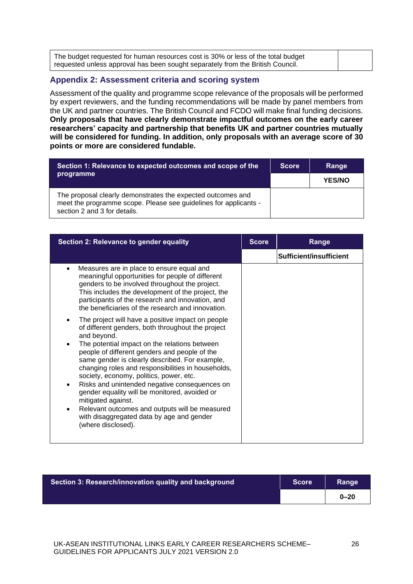| The budget requested for human resources cost is 30% or less of the total budget |  |
|----------------------------------------------------------------------------------|--|
| requested unless approval has been sought separately from the British Council.   |  |

#### <span id="page-25-0"></span>**Appendix 2: Assessment criteria and scoring system**

Assessment of the quality and programme scope relevance of the proposals will be performed by expert reviewers, and the funding recommendations will be made by panel members from the UK and partner countries. The British Council and FCDO will make final funding decisions. **Only proposals that have clearly demonstrate impactful outcomes on the early career researchers' capacity and partnership that benefits UK and partner countries mutually will be considered for funding. In addition, only proposals with an average score of 30 points or more are considered fundable.**

| Section 1: Relevance to expected outcomes and scope of the                                                                                                      | <b>Score</b> | Range         |
|-----------------------------------------------------------------------------------------------------------------------------------------------------------------|--------------|---------------|
| <u>programme</u>                                                                                                                                                |              | <b>YES/NO</b> |
| The proposal clearly demonstrates the expected outcomes and<br>meet the programme scope. Please see guidelines for applicants -<br>section 2 and 3 for details. |              |               |

| Section 2: Relevance to gender equality                                                                                                                                                                                                                                                                                                                                                                                                                                                                                                                                                                                                        | <b>Score</b> | Range                   |
|------------------------------------------------------------------------------------------------------------------------------------------------------------------------------------------------------------------------------------------------------------------------------------------------------------------------------------------------------------------------------------------------------------------------------------------------------------------------------------------------------------------------------------------------------------------------------------------------------------------------------------------------|--------------|-------------------------|
|                                                                                                                                                                                                                                                                                                                                                                                                                                                                                                                                                                                                                                                |              | Sufficient/insufficient |
| Measures are in place to ensure equal and<br>٠<br>meaningful opportunities for people of different<br>genders to be involved throughout the project.<br>This includes the development of the project, the<br>participants of the research and innovation, and<br>the beneficiaries of the research and innovation.                                                                                                                                                                                                                                                                                                                             |              |                         |
| The project will have a positive impact on people<br>٠<br>of different genders, both throughout the project<br>and beyond.<br>The potential impact on the relations between<br>people of different genders and people of the<br>same gender is clearly described. For example,<br>changing roles and responsibilities in households,<br>society, economy, politics, power, etc.<br>Risks and unintended negative consequences on<br>٠<br>gender equality will be monitored, avoided or<br>mitigated against.<br>Relevant outcomes and outputs will be measured<br>$\bullet$<br>with disaggregated data by age and gender<br>(where disclosed). |              |                         |

| Section 3: Research/innovation quality and background | <b>Score</b> | Range    |
|-------------------------------------------------------|--------------|----------|
|                                                       |              | $0 - 20$ |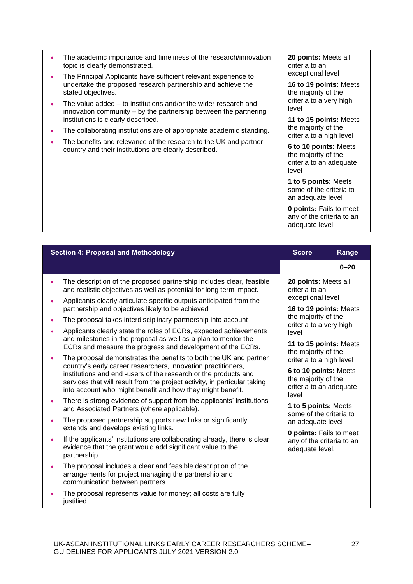- The academic importance and timeliness of the research/innovation topic is clearly demonstrated.
- The Principal Applicants have sufficient relevant experience to undertake the proposed research partnership and achieve the stated objectives.
- The value added to institutions and/or the wider research and innovation community – by the partnership between the partnering institutions is clearly described.
- The collaborating institutions are of appropriate academic standing.
- The benefits and relevance of the research to the UK and partner country and their institutions are clearly described.

**20 points:** Meets all criteria to an exceptional level

**16 to 19 points:** Meets the majority of the criteria to a very high level

**11 to 15 points:** Meets the majority of the criteria to a high level

**6 to 10 points:** Meets the majority of the criteria to an adequate level

**1 to 5 points:** Meets some of the criteria to an adequate level

**0 points:** Fails to meet any of the criteria to an adequate level.

| <b>Section 4: Proposal and Methodology</b> |                                                                                                                                                                                                                                                                             | <b>Score</b>                                                                          | Range    |
|--------------------------------------------|-----------------------------------------------------------------------------------------------------------------------------------------------------------------------------------------------------------------------------------------------------------------------------|---------------------------------------------------------------------------------------|----------|
|                                            |                                                                                                                                                                                                                                                                             |                                                                                       | $0 - 20$ |
|                                            | The description of the proposed partnership includes clear, feasible<br>and realistic objectives as well as potential for long term impact.                                                                                                                                 | 20 points: Meets all<br>criteria to an<br>exceptional level<br>16 to 19 points: Meets |          |
|                                            | Applicants clearly articulate specific outputs anticipated from the<br>partnership and objectives likely to be achieved                                                                                                                                                     |                                                                                       |          |
|                                            | The proposal takes interdisciplinary partnership into account                                                                                                                                                                                                               | the majority of the<br>criteria to a very high                                        |          |
|                                            | Applicants clearly state the roles of ECRs, expected achievements                                                                                                                                                                                                           | level                                                                                 |          |
|                                            | and milestones in the proposal as well as a plan to mentor the<br>ECRs and measure the progress and development of the ECRs.                                                                                                                                                | 11 to 15 points: Meets<br>the majority of the                                         |          |
|                                            | The proposal demonstrates the benefits to both the UK and partner                                                                                                                                                                                                           | criteria to a high level                                                              |          |
|                                            | country's early career researchers, innovation practitioners,<br>institutions and end -users of the research or the products and<br>services that will result from the project activity, in particular taking<br>into account who might benefit and how they might benefit. | 6 to 10 points: Meets<br>the majority of the<br>criteria to an adequate<br>level      |          |
| $\bullet$                                  | There is strong evidence of support from the applicants' institutions<br>and Associated Partners (where applicable).                                                                                                                                                        | 1 to 5 points: Meets<br>some of the criteria to                                       |          |
|                                            | The proposed partnership supports new links or significantly<br>extends and develops existing links.                                                                                                                                                                        | an adequate level                                                                     |          |
| $\bullet$                                  | If the applicants' institutions are collaborating already, there is clear<br>evidence that the grant would add significant value to the<br>partnership.                                                                                                                     | <b>0 points:</b> Fails to meet<br>any of the criteria to an<br>adequate level.        |          |
|                                            | The proposal includes a clear and feasible description of the<br>arrangements for project managing the partnership and<br>communication between partners.                                                                                                                   |                                                                                       |          |
|                                            | The proposal represents value for money; all costs are fully<br>justified.                                                                                                                                                                                                  |                                                                                       |          |